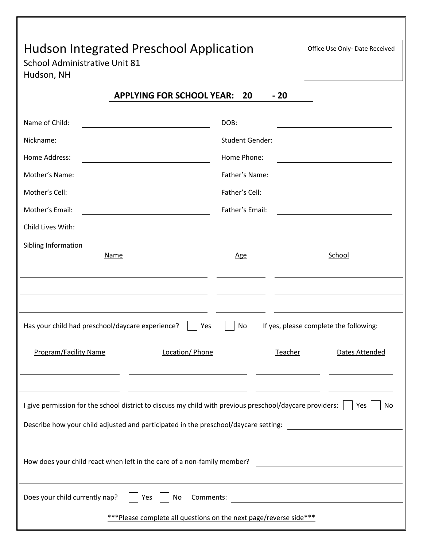# Hudson Integrated Preschool Application and office Use Only-Date Received

School Administrative Unit 81 Hudson, NH

| <b>APPLYING FOR SCHOOL YEAR: 20</b> |  | - 20 |
|-------------------------------------|--|------|
|-------------------------------------|--|------|

| Name of Child:                                                                                                                                                                                  | DOB:                   |                                                                                                                        |  |  |
|-------------------------------------------------------------------------------------------------------------------------------------------------------------------------------------------------|------------------------|------------------------------------------------------------------------------------------------------------------------|--|--|
| Nickname:                                                                                                                                                                                       | <b>Student Gender:</b> | <u> 1980 - Johann Barn, mars ann an t-Aonaich an t-Aonaich an t-Aonaich an t-Aonaich an t-Aonaich ann an t-Aonaich</u> |  |  |
| Home Address:                                                                                                                                                                                   | Home Phone:            |                                                                                                                        |  |  |
| Mother's Name:                                                                                                                                                                                  | Father's Name:         |                                                                                                                        |  |  |
| Mother's Cell:                                                                                                                                                                                  | Father's Cell:         | <u> 1989 - Johann Barbara, martin amerikan basar dan basa dan basa dan basa dalam basa dalam basa dalam basa dala</u>  |  |  |
| Mother's Email:                                                                                                                                                                                 | Father's Email:        |                                                                                                                        |  |  |
| Child Lives With:                                                                                                                                                                               |                        |                                                                                                                        |  |  |
| Sibling Information                                                                                                                                                                             |                        |                                                                                                                        |  |  |
| <b>Name</b>                                                                                                                                                                                     | <u>Age</u>             | School                                                                                                                 |  |  |
|                                                                                                                                                                                                 |                        |                                                                                                                        |  |  |
|                                                                                                                                                                                                 |                        |                                                                                                                        |  |  |
| Has your child had preschool/daycare experience?<br>If yes, please complete the following:<br>No<br>Yes                                                                                         |                        |                                                                                                                        |  |  |
| <b>Program/Facility Name</b><br>Location/ Phone                                                                                                                                                 |                        |                                                                                                                        |  |  |
|                                                                                                                                                                                                 |                        | Teacher<br>Dates Attended                                                                                              |  |  |
|                                                                                                                                                                                                 |                        |                                                                                                                        |  |  |
| I give permission for the school district to discuss my child with previous preschool/daycare providers:<br>Describe how your child adjusted and participated in the preschool/daycare setting: |                        | Yes<br>No                                                                                                              |  |  |
| How does your child react when left in the care of a non-family member?                                                                                                                         |                        | <u> 1989 - Johann Barn, mars ann an t-Amhain Aonaich an t-Aonaich an t-Aonaich ann an t-Aonaich ann an t-Aonaich</u>   |  |  |
| Does your child currently nap?<br>No<br>Comments:<br>Yes                                                                                                                                        |                        | <u> 1989 - Johann Barn, mars ann an t-</u>                                                                             |  |  |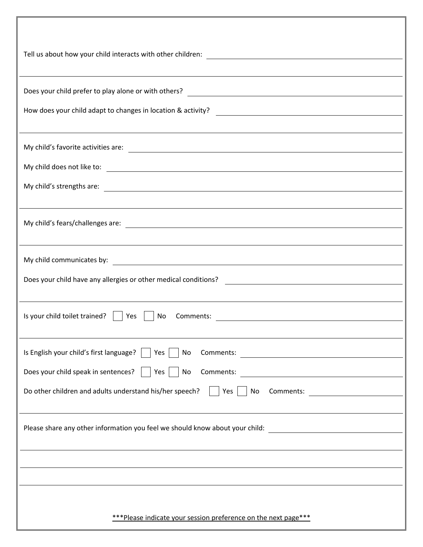| ,我们也不会有什么。""我们的人,我们也不会有什么?""我们的人,我们也不会有什么?""我们的人,我们也不会有什么?""我们的人,我们也不会有什么?""我们的人                                                                                                                                                                 |
|--------------------------------------------------------------------------------------------------------------------------------------------------------------------------------------------------------------------------------------------------|
| How does your child adapt to changes in location & activity?                                                                                                                                                                                     |
| ,我们也不会有什么。""我们的人,我们也不会有什么?""我们的人,我们也不会有什么?""我们的人,我们也不会有什么?""我们的人,我们也不会有什么?""我们的人                                                                                                                                                                 |
|                                                                                                                                                                                                                                                  |
|                                                                                                                                                                                                                                                  |
| Does your child have any allergies or other medical conditions?<br><u> and the manual conditions</u>                                                                                                                                             |
| Is your child toilet trained? $\vert$   Yes  <br>No                                                                                                                                                                                              |
| Is English your child's first language? $\vert$ $\vert$ Yes $\vert$<br>No<br>Does your child speak in sentences?     Yes    <br><b>No</b><br>Do other children and adults understand his/her speech?   Yes   No Comments: ______________________ |
| Please share any other information you feel we should know about your child: _________________________________<br>,我们也不会有什么。""我们的人,我们也不会有什么?""我们的人,我们也不会有什么?""我们的人,我们也不会有什么?""我们的人,我们也不会有什么?""我们的人                                               |
|                                                                                                                                                                                                                                                  |
| *** Please indicate your session preference on the next page***                                                                                                                                                                                  |